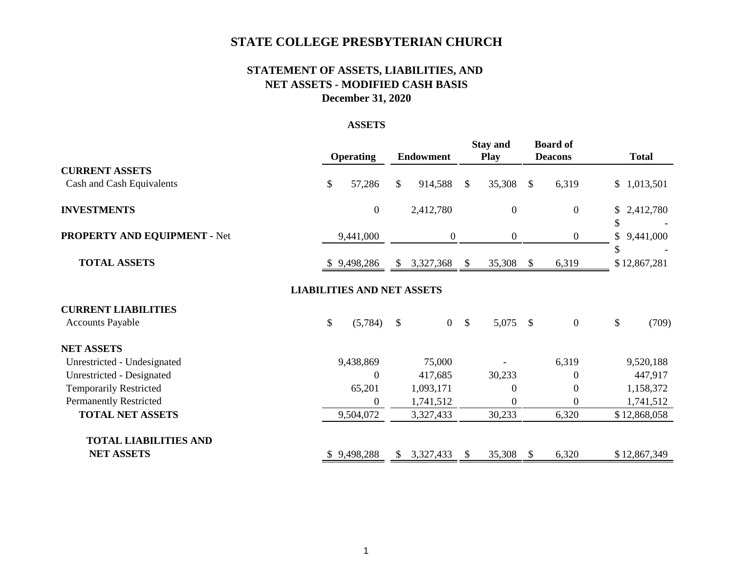# **STATE COLLEGE PRESBYTERIAN CHURCH**

## **STATEMENT OF ASSETS, LIABILITIES, AND NET ASSETS - MODIFIED CASH BASIS December 31, 2020**

## **ASSETS**

|                               | <b>Operating</b>                  | <b>Endowment</b>     |               | <b>Stay and</b><br><b>Play</b> |               | <b>Board of</b><br><b>Deacons</b> | <b>Total</b>          |
|-------------------------------|-----------------------------------|----------------------|---------------|--------------------------------|---------------|-----------------------------------|-----------------------|
| <b>CURRENT ASSETS</b>         |                                   |                      |               |                                |               |                                   |                       |
| Cash and Cash Equivalents     | \$<br>57,286                      | \$<br>914,588        | $\mathbb{S}$  | 35,308                         | $\frac{1}{2}$ | 6,319                             | \$1,013,501           |
| <b>INVESTMENTS</b>            | $\overline{0}$                    | 2,412,780            |               | $\boldsymbol{0}$               |               | $\overline{0}$                    | \$2,412,780           |
| PROPERTY AND EQUIPMENT - Net  | 9,441,000                         | $\boldsymbol{0}$     |               | $\boldsymbol{0}$               |               | $\overline{0}$                    | \$<br>\$<br>9,441,000 |
|                               |                                   |                      |               |                                |               |                                   | \$                    |
| <b>TOTAL ASSETS</b>           | 9,498,286<br>D.                   | \$<br>3,327,368      | \$            | 35,308                         | $\mathbb{S}$  | 6,319                             | \$12,867,281          |
|                               | <b>LIABILITIES AND NET ASSETS</b> |                      |               |                                |               |                                   |                       |
| <b>CURRENT LIABILITIES</b>    |                                   |                      |               |                                |               |                                   |                       |
| <b>Accounts Payable</b>       | \$<br>(5,784)                     | \$<br>$\overline{0}$ | $\mathcal{S}$ | 5,075                          | $\mathcal{S}$ | $\mathbf{0}$                      | \$<br>(709)           |
| <b>NET ASSETS</b>             |                                   |                      |               |                                |               |                                   |                       |
| Unrestricted - Undesignated   | 9,438,869                         | 75,000               |               |                                |               | 6,319                             | 9,520,188             |
| Unrestricted - Designated     | $\boldsymbol{0}$                  | 417,685              |               | 30,233                         |               | 0                                 | 447,917               |
| <b>Temporarily Restricted</b> | 65,201                            | 1,093,171            |               | $\theta$                       |               | 0                                 | 1,158,372             |
| <b>Permanently Restricted</b> | $\Omega$                          | 1,741,512            |               | $\boldsymbol{0}$               |               | $\Omega$                          | 1,741,512             |
| <b>TOTAL NET ASSETS</b>       | 9,504,072                         | 3,327,433            |               | 30,233                         |               | 6,320                             | \$12,868,058          |
| <b>TOTAL LIABILITIES AND</b>  |                                   |                      |               |                                |               |                                   |                       |
| <b>NET ASSETS</b>             | 9,498,288                         | \$<br>3,327,433      | <sup>S</sup>  | 35,308                         | <sup>\$</sup> | 6,320                             | \$12,867,349          |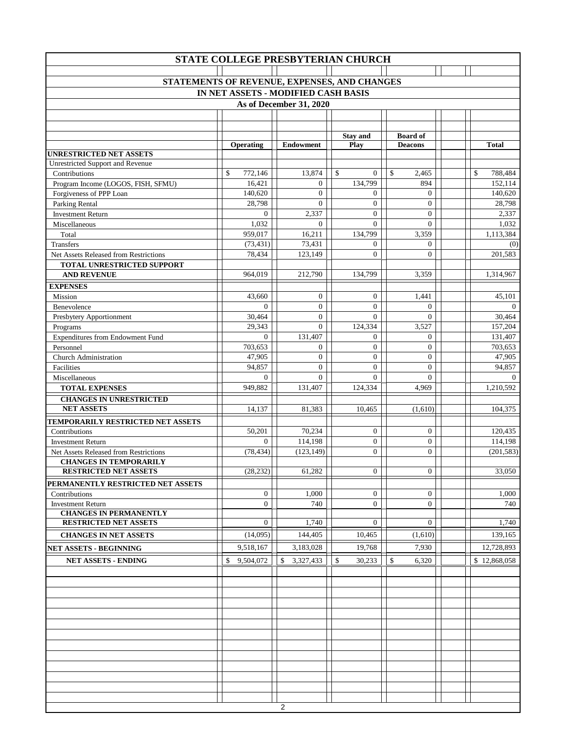| STATE COLLEGE PRESBYTERIAN CHURCH                         |                    |                            |                              |                                |                    |  |  |  |  |  |
|-----------------------------------------------------------|--------------------|----------------------------|------------------------------|--------------------------------|--------------------|--|--|--|--|--|
|                                                           |                    |                            |                              |                                |                    |  |  |  |  |  |
| STATEMENTS OF REVENUE, EXPENSES, AND CHANGES              |                    |                            |                              |                                |                    |  |  |  |  |  |
| IN NET ASSETS - MODIFIED CASH BASIS                       |                    |                            |                              |                                |                    |  |  |  |  |  |
|                                                           |                    | As of December 31, 2020    |                              |                                |                    |  |  |  |  |  |
|                                                           |                    |                            |                              |                                |                    |  |  |  |  |  |
|                                                           |                    |                            |                              |                                |                    |  |  |  |  |  |
|                                                           |                    |                            | <b>Stay and</b>              | <b>Board of</b>                |                    |  |  |  |  |  |
| <b>UNRESTRICTED NET ASSETS</b>                            | <b>Operating</b>   | <b>Endowment</b>           | Play                         | <b>Deacons</b>                 | <b>Total</b>       |  |  |  |  |  |
| <b>Unrestricted Support and Revenue</b>                   |                    |                            |                              |                                |                    |  |  |  |  |  |
| Contributions                                             | \$<br>772,146      | 13,874                     | $\mathbb{S}$<br>$\mathbf{0}$ | \$<br>2,465                    | \$<br>788,484      |  |  |  |  |  |
| Program Income (LOGOS, FISH, SFMU)                        | 16,421             | $\overline{0}$             | 134,799                      | 894                            | 152,114            |  |  |  |  |  |
| Forgiveness of PPP Loan                                   | 140,620            | $\mathbf{0}$               | $\mathbf{0}$                 | $\boldsymbol{0}$               | 140,620            |  |  |  |  |  |
| Parking Rental                                            | 28,798             | $\mathbf{0}$               | $\mathbf{0}$                 | $\boldsymbol{0}$               | 28,798             |  |  |  |  |  |
| <b>Investment Return</b>                                  | $\Omega$           | 2,337                      | $\mathbf{0}$                 | $\boldsymbol{0}$               | 2,337              |  |  |  |  |  |
| Miscellaneous                                             | 1,032              | $\Omega$                   | $\Omega$                     | $\overline{0}$                 | 1,032              |  |  |  |  |  |
| Total                                                     | 959,017            | 16,211                     | 134,799                      | 3,359                          | 1,113,384          |  |  |  |  |  |
| Transfers                                                 | (73, 431)          | 73,431                     | $\Omega$                     | $\boldsymbol{0}$               | (0)                |  |  |  |  |  |
| Net Assets Released from Restrictions                     | 78,434             | 123,149                    | $\Omega$                     | $\overline{0}$                 | 201,583            |  |  |  |  |  |
| TOTAL UNRESTRICTED SUPPORT                                |                    |                            |                              |                                |                    |  |  |  |  |  |
| <b>AND REVENUE</b>                                        | 964.019            | 212,790                    | 134,799                      | 3.359                          | 1,314,967          |  |  |  |  |  |
| <b>EXPENSES</b>                                           |                    |                            |                              |                                |                    |  |  |  |  |  |
| Mission                                                   | 43,660             | $\overline{0}$<br>$\theta$ | $\mathbf{0}$                 | 1,441                          | 45,101             |  |  |  |  |  |
| Benevolence                                               | $\Omega$<br>30,464 | $\mathbf{0}$               | $\overline{0}$<br>$\Omega$   | $\mathbf{0}$<br>$\overline{0}$ | $\Omega$<br>30,464 |  |  |  |  |  |
| Presbytery Apportionment                                  | 29,343             | $\Omega$                   | 124,334                      | 3,527                          | 157,204            |  |  |  |  |  |
| Programs<br><b>Expenditures from Endowment Fund</b>       | $\Omega$           | 131,407                    | $\mathbf{0}$                 | $\boldsymbol{0}$               | 131,407            |  |  |  |  |  |
| Personnel                                                 | 703,653            | $\mathbf{0}$               | $\boldsymbol{0}$             | $\boldsymbol{0}$               | 703,653            |  |  |  |  |  |
| <b>Church Administration</b>                              | 47,905             | $\mathbf{0}$               | $\overline{0}$               | $\boldsymbol{0}$               | 47,905             |  |  |  |  |  |
| Facilities                                                | 94,857             | $\overline{0}$             | $\mathbf{0}$                 | $\boldsymbol{0}$               | 94,857             |  |  |  |  |  |
| Miscellaneous                                             | $\Omega$           | $\theta$                   | $\Omega$                     | $\overline{0}$                 | $\Omega$           |  |  |  |  |  |
| <b>TOTAL EXPENSES</b>                                     | 949,882            | 131,407                    | 124,334                      | 4,969                          | 1,210,592          |  |  |  |  |  |
| <b>CHANGES IN UNRESTRICTED</b>                            |                    |                            |                              |                                |                    |  |  |  |  |  |
| <b>NET ASSETS</b>                                         | 14,137             | 81,383                     | 10,465                       | (1,610)                        | 104,375            |  |  |  |  |  |
| TEMPORARILY RESTRICTED NET ASSETS                         |                    |                            |                              |                                |                    |  |  |  |  |  |
| Contributions                                             | 50,201             | 70,234                     | $\mathbf{0}$                 | $\boldsymbol{0}$               | 120,435            |  |  |  |  |  |
| <b>Investment Return</b>                                  | $\mathbf{0}$       | 114,198                    | $\boldsymbol{0}$             | $\boldsymbol{0}$               | 114,198            |  |  |  |  |  |
| Net Assets Released from Restrictions                     | (78, 434)          | (123, 149)                 | $\overline{0}$               | $\overline{0}$                 | (201, 583)         |  |  |  |  |  |
| <b>CHANGES IN TEMPORARILY</b>                             |                    |                            |                              |                                |                    |  |  |  |  |  |
| <b>RESTRICTED NET ASSETS</b>                              | (28, 232)          | 61,282                     | $\overline{0}$               | $\mathbf{0}$                   | 33,050             |  |  |  |  |  |
| PERMANENTLY RESTRICTED NET ASSETS                         |                    |                            |                              |                                |                    |  |  |  |  |  |
| Contributions                                             | $\boldsymbol{0}$   | 1,000                      | $\boldsymbol{0}$             | $\boldsymbol{0}$               | 1,000              |  |  |  |  |  |
| <b>Investment Return</b><br><b>CHANGES IN PERMANENTLY</b> | $\mathbf{0}$       | 740                        | $\mathbf{0}$                 | $\boldsymbol{0}$               | 740                |  |  |  |  |  |
| <b>RESTRICTED NET ASSETS</b>                              | $\mathbf{0}$       | 1,740                      | $\mathbf{0}$                 | $\mathbf{0}$                   | 1,740              |  |  |  |  |  |
| <b>CHANGES IN NET ASSETS</b>                              | (14,095)           | 144,405                    | 10,465                       | (1,610)                        | 139,165            |  |  |  |  |  |
|                                                           |                    |                            | 19.768                       |                                |                    |  |  |  |  |  |
| <b>NET ASSETS - BEGINNING</b>                             | 9,518,167          | 3,183,028                  |                              | 7,930                          | 12,728,893         |  |  |  |  |  |
| <b>NET ASSETS - ENDING</b>                                | 9,504,072<br>\$    | \$<br>3,327,433            | \$<br>30,233                 | \$<br>6,320                    | \$12,868,058       |  |  |  |  |  |
|                                                           |                    |                            |                              |                                |                    |  |  |  |  |  |
|                                                           |                    |                            |                              |                                |                    |  |  |  |  |  |
|                                                           |                    |                            |                              |                                |                    |  |  |  |  |  |
|                                                           |                    |                            |                              |                                |                    |  |  |  |  |  |
|                                                           |                    |                            |                              |                                |                    |  |  |  |  |  |
|                                                           |                    |                            |                              |                                |                    |  |  |  |  |  |
|                                                           |                    |                            |                              |                                |                    |  |  |  |  |  |
|                                                           |                    |                            |                              |                                |                    |  |  |  |  |  |
|                                                           |                    |                            |                              |                                |                    |  |  |  |  |  |
|                                                           |                    |                            |                              |                                |                    |  |  |  |  |  |
|                                                           |                    |                            |                              |                                |                    |  |  |  |  |  |
|                                                           |                    |                            |                              |                                |                    |  |  |  |  |  |
|                                                           |                    | 2                          |                              |                                |                    |  |  |  |  |  |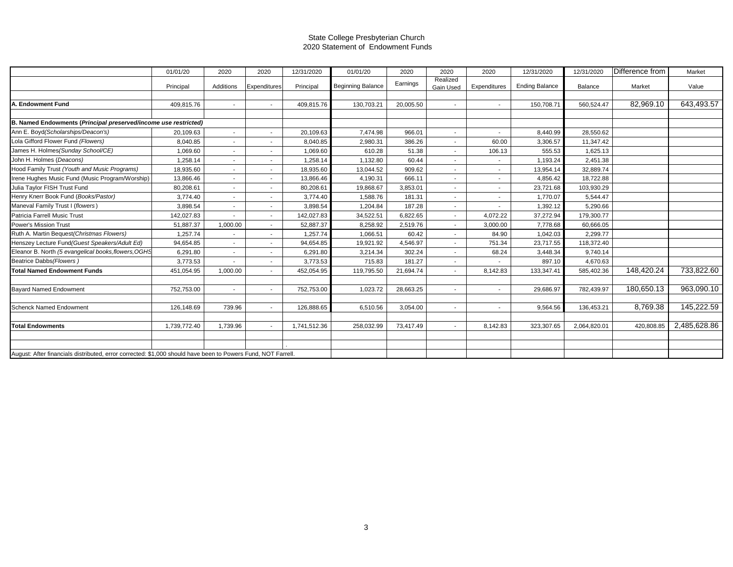#### State College Presbyterian Church 2020 Statement of Endowment Funds

|                                                                                                              | 01/01/20     | 2020      | 2020                     | 12/31/2020   | 01/01/20                 | 2020      | 2020                  | 2020                     | 12/31/2020            | 12/31/2020   | Difference from | Market       |
|--------------------------------------------------------------------------------------------------------------|--------------|-----------|--------------------------|--------------|--------------------------|-----------|-----------------------|--------------------------|-----------------------|--------------|-----------------|--------------|
|                                                                                                              | Principal    | Additions | Expenditures             | Principal    | <b>Beginning Balance</b> | Earnings  | Realized<br>Gain Used | Expenditures             | <b>Ending Balance</b> | Balance      | Market          | Value        |
|                                                                                                              |              |           |                          |              |                          |           |                       |                          |                       |              |                 |              |
| . Endowment Fund                                                                                             | 409,815.76   | $\sim$    | $\overline{\phantom{a}}$ | 409,815.76   | 130,703.21               | 20,005.50 | $\sim$                | $\sim$                   | 150,708.7             | 560,524.47   | 82,969.10       | 643,493.57   |
|                                                                                                              |              |           |                          |              |                          |           |                       |                          |                       |              |                 |              |
| B. Named Endowments (Principal preserved/income use restricted)                                              |              |           |                          |              |                          |           |                       |                          |                       |              |                 |              |
| Ann E. Boyd (Scholarships/Deacon's)                                                                          | 20,109.63    | $\sim$    | $\overline{\phantom{a}}$ | 20,109.63    | 7,474.98                 | 966.01    | $\sim$                | $\overline{\phantom{a}}$ | 8,440.99              | 28,550.62    |                 |              |
| Lola Gifford Flower Fund (Flowers)                                                                           | 8,040.85     |           |                          | 8,040.85     | 2,980.31                 | 386.26    | $\sim$                | 60.00                    | 3,306.57              | 11,347.42    |                 |              |
| James H. Holmes (Sunday School/CE)                                                                           | 1,069.60     | $\sim$    | ۰.                       | 1,069.60     | 610.28                   | 51.38     | $\sim$                | 106.13                   | 555.53                | 1,625.13     |                 |              |
| John H. Holmes (Deacons)                                                                                     | 1,258.14     | $\sim$    | $\sim$                   | 1,258.14     | 1,132.80                 | 60.44     | $\sim$                | $\overline{\phantom{a}}$ | 1,193.24              | 2,451.38     |                 |              |
| Hood Family Trust (Youth and Music Programs)                                                                 | 18,935.60    | $\sim$    |                          | 18,935.60    | 13,044.52                | 909.62    | $\sim$                |                          | 13,954.14             | 32,889.74    |                 |              |
| Irene Hughes Music Fund (Music Program/Worship)                                                              | 13,866.46    | $\sim$    | $\overline{\phantom{a}}$ | 13,866.46    | 4,190.31                 | 666.11    | $\sim$                |                          | 4,856.42              | 18,722.88    |                 |              |
| Julia Taylor FISH Trust Fund                                                                                 | 80,208.61    | $\sim$    |                          | 80,208.61    | 19,868.67                | 3,853.01  | $\sim$                | ٠.                       | 23,721.68             | 103,930.29   |                 |              |
| Henry Knerr Book Fund (Books/Pastor)                                                                         | 3,774.40     |           |                          | 3,774.40     | 1,588.76                 | 181.31    | $\sim$                |                          | 1,770.07              | 5,544.47     |                 |              |
| Maneval Family Trust I (flowers)                                                                             | 3,898.54     | $\sim$    | $\overline{\phantom{a}}$ | 3,898.54     | 1,204.84                 | 187.28    | $\sim$                |                          | 1,392.12              | 5,290.66     |                 |              |
| Patricia Farrell Music Trust                                                                                 | 142,027.83   |           | $\overline{\phantom{a}}$ | 142,027.83   | 34,522.51                | 6,822.65  | $\sim$                | 4,072.22                 | 37,272.94             | 179,300.77   |                 |              |
| <b>Power's Mission Trust</b>                                                                                 | 51,887.37    | 1,000.00  |                          | 52,887.37    | 8,258.92                 | 2,519.76  | $\sim$                | 3,000.00                 | 7,778.68              | 60,666.05    |                 |              |
| Ruth A. Martin Bequest (Christmas Flowers)                                                                   | 1,257.74     |           | $\overline{\phantom{a}}$ | 1,257.74     | 1,066.51                 | 60.42     | $\sim$                | 84.90                    | 1,042.03              | 2,299.77     |                 |              |
| Henszey Lecture Fund (Guest Speakers/Adult Ed)                                                               | 94,654.85    | $\sim$    |                          | 94,654.85    | 19,921.92                | 4,546.97  | $\sim$                | 751.34                   | 23,717.55             | 118,372.40   |                 |              |
| Eleanor B. North (5 evangelical books, flowers, OGHS                                                         | 6.291.80     | $\sim$    |                          | 6.291.80     | 3,214.34                 | 302.24    | $\sim$                | 68.24                    | 3,448.34              | 9,740.14     |                 |              |
| Beatrice Dabbs (Flowers)                                                                                     | 3,773.53     |           | $\overline{\phantom{a}}$ | 3,773.53     | 715.83                   | 181.27    | $\sim$                |                          | 897.10                | 4,670.63     |                 |              |
| <b>Total Named Endowment Funds</b>                                                                           | 451,054.95   | 1,000.00  |                          | 452,054.95   | 119,795.50               | 21,694.74 | $\sim$                | 8,142.83                 | 133,347.41            | 585,402.36   | 148,420.24      | 733,822.60   |
|                                                                                                              |              |           |                          |              |                          |           |                       |                          |                       |              |                 |              |
| <b>Bayard Named Endowment</b>                                                                                | 752,753.00   | $\sim$    |                          | 752,753.00   | 1,023.72                 | 28,663.25 | $\sim$                | $\overline{\phantom{a}}$ | 29,686.97             | 782,439.97   | 180.650.13      | 963,090.10   |
|                                                                                                              |              |           |                          |              |                          |           |                       |                          |                       |              |                 |              |
| <b>Schenck Named Endowment</b>                                                                               | 126,148.69   | 739.96    | $\blacksquare$           | 126,888.65   | 6,510.56                 | 3,054.00  | $\sim$                | $\sim$                   | 9,564.56              | 136,453.21   | 8,769.38        | 145,222.59   |
|                                                                                                              |              |           |                          |              |                          |           |                       |                          |                       |              |                 |              |
| <b>Total Endowments</b>                                                                                      | 1,739,772.40 | 1,739.96  |                          | 1,741,512.36 | 258,032.99               | 73,417.49 | $\sim$                | 8,142.83                 | 323,307.65            | 2,064,820.01 | 420,808.85      | 2,485,628.86 |
|                                                                                                              |              |           |                          |              |                          |           |                       |                          |                       |              |                 |              |
|                                                                                                              |              |           |                          |              |                          |           |                       |                          |                       |              |                 |              |
| August: After financials distributed, error corrected: \$1,000 should have been to Powers Fund, NOT Farrell. |              |           |                          |              |                          |           |                       |                          |                       |              |                 |              |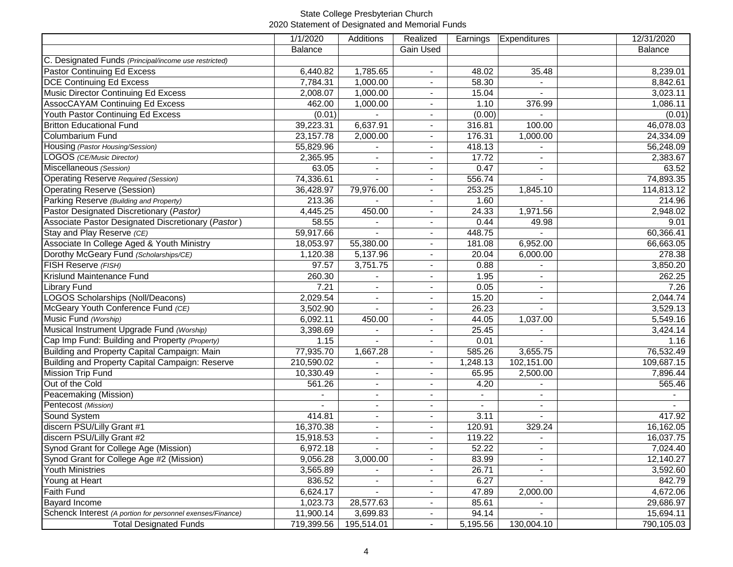### State College Presbyterian Church 2020 Statement of Designated and Memorial Funds

|                                                            | 1/1/2020    | Additions                | Realized                 | Earnings | <b>Expenditures</b> | 12/31/2020 |
|------------------------------------------------------------|-------------|--------------------------|--------------------------|----------|---------------------|------------|
|                                                            | Balance     |                          | Gain Used                |          |                     | Balance    |
| C. Designated Funds (Principal/income use restricted)      |             |                          |                          |          |                     |            |
| Pastor Continuing Ed Excess                                | 6,440.82    | 1,785.65                 |                          | 48.02    | 35.48               | 8,239.01   |
| <b>DCE Continuing Ed Excess</b>                            | 7,784.31    | 1,000.00                 |                          | 58.30    |                     | 8,842.61   |
| Music Director Continuing Ed Excess                        | 2,008.07    | 1,000.00                 |                          | 15.04    |                     | 3,023.11   |
| <b>AssocCAYAM Continuing Ed Excess</b>                     | 462.00      | 1,000.00                 |                          | 1.10     | 376.99              | 1,086.11   |
| Youth Pastor Continuing Ed Excess                          | (0.01)      |                          |                          | (0.00)   |                     | (0.01)     |
| <b>Britton Educational Fund</b>                            | 39,223.31   | 6,637.91                 |                          | 316.81   | 100.00              | 46,078.03  |
| Columbarium Fund                                           | 23, 157. 78 | 2,000.00                 | $\blacksquare$           | 176.31   | 1,000.00            | 24,334.09  |
| Housing (Pastor Housing/Session)                           | 55,829.96   |                          | $\blacksquare$           | 418.13   |                     | 56,248.09  |
| LOGOS (CE/Music Director)                                  | 2,365.95    | $\blacksquare$           | $\blacksquare$           | 17.72    | $\blacksquare$      | 2,383.67   |
| Miscellaneous (Session)                                    | 63.05       | $\blacksquare$           | $\blacksquare$           | 0.47     | $\blacksquare$      | 63.52      |
| <b>Operating Reserve Required (Session)</b>                | 74,336.61   | $\blacksquare$           | $\blacksquare$           | 556.74   | $\overline{a}$      | 74,893.35  |
| <b>Operating Reserve (Session)</b>                         | 36,428.97   | 79,976.00                | $\blacksquare$           | 253.25   | 1,845.10            | 114,813.12 |
| Parking Reserve (Building and Property)                    | 213.36      |                          | $\blacksquare$           | 1.60     |                     | 214.96     |
| Pastor Designated Discretionary (Pastor)                   | 4,445.25    | 450.00                   | $\blacksquare$           | 24.33    | 1,971.56            | 2,948.02   |
| Associate Pastor Designated Discretionary (Pastor)         | 58.55       |                          | $\blacksquare$           | 0.44     | 49.98               | 9.01       |
| Stay and Play Reserve (CE)                                 | 59,917.66   |                          | $\overline{\phantom{a}}$ | 448.75   | $\sim$              | 60,366.41  |
| Associate In College Aged & Youth Ministry                 | 18,053.97   | 55,380.00                | $\overline{\phantom{a}}$ | 181.08   | 6,952.00            | 66,663.05  |
| Dorothy McGeary Fund (Scholarships/CE)                     | 1,120.38    | 5,137.96                 |                          | 20.04    | 6,000.00            | 278.38     |
| FISH Reserve (FISH)                                        | 97.57       | 3,751.75                 | $\blacksquare$           | 0.88     |                     | 3,850.20   |
| Krislund Maintenance Fund                                  | 260.30      |                          | $\overline{\phantom{a}}$ | 1.95     |                     | 262.25     |
| Library Fund                                               | 7.21        |                          |                          | 0.05     |                     | 7.26       |
| LOGOS Scholarships (Noll/Deacons)                          | 2,029.54    |                          |                          | 15.20    |                     | 2,044.74   |
| McGeary Youth Conference Fund (CE)                         | 3,502.90    | $\mathbf{r}$             |                          | 26.23    |                     | 3,529.13   |
| Music Fund (Worship)                                       | 6,092.11    | 450.00                   | $\blacksquare$           | 44.05    | 1,037.00            | 5,549.16   |
| Musical Instrument Upgrade Fund (Worship)                  | 3,398.69    | $\tilde{\phantom{a}}$    | $\blacksquare$           | 25.45    |                     | 3,424.14   |
| Cap Imp Fund: Building and Property (Property)             | 1.15        |                          | $\blacksquare$           | 0.01     |                     | 1.16       |
| Building and Property Capital Campaign: Main               | 77,935.70   | 1,667.28                 | $\blacksquare$           | 585.26   | 3,655.75            | 76,532.49  |
| Building and Property Capital Campaign: Reserve            | 210,590.02  | $\blacksquare$           | $\blacksquare$           | 1,248.13 | 102,151.00          | 109,687.15 |
| <b>Mission Trip Fund</b>                                   | 10,330.49   | $\blacksquare$           | $\blacksquare$           | 65.95    | 2,500.00            | 7,896.44   |
| Out of the Cold                                            | 561.26      | $\blacksquare$           | $\blacksquare$           | 4.20     |                     | 565.46     |
| Peacemaking (Mission)                                      |             | $\blacksquare$           |                          | $\sim$   | $\blacksquare$      |            |
| Pentecost (Mission)                                        |             | $\blacksquare$           | $\blacksquare$           | $\sim$   | $\blacksquare$      |            |
| Sound System                                               | 414.81      | $\blacksquare$           | $\overline{\phantom{a}}$ | 3.11     | $\blacksquare$      | 417.92     |
| discern PSU/Lilly Grant #1                                 | 16,370.38   | $\blacksquare$           | $\overline{\phantom{a}}$ | 120.91   | 329.24              | 16,162.05  |
| discern PSU/Lilly Grant #2                                 | 15,918.53   | $\overline{\phantom{a}}$ |                          | 119.22   | $\overline{a}$      | 16,037.75  |
| Synod Grant for College Age (Mission)                      | 6,972.18    |                          |                          | 52.22    |                     | 7,024.40   |
| Synod Grant for College Age #2 (Mission)                   | 9,056.28    | 3,000.00                 |                          | 83.99    |                     | 12,140.27  |
| <b>Youth Ministries</b>                                    | 3,565.89    |                          |                          | 26.71    |                     | 3,592.60   |
| Young at Heart                                             | 836.52      |                          |                          | 6.27     |                     | 842.79     |
| Faith Fund                                                 | 6,624.17    |                          |                          | 47.89    | 2,000.00            | 4,672.06   |
| <b>Bayard Income</b>                                       | 1,023.73    | 28,577.63                |                          | 85.61    |                     | 29,686.97  |
| Schenck Interest (A portion for personnel exenses/Finance) | 11,900.14   | 3,699.83                 | $\blacksquare$           | 94.14    |                     | 15,694.11  |
| <b>Total Designated Funds</b>                              | 719,399.56  | 195,514.01               | $\blacksquare$           | 5,195.56 | 130,004.10          | 790,105.03 |